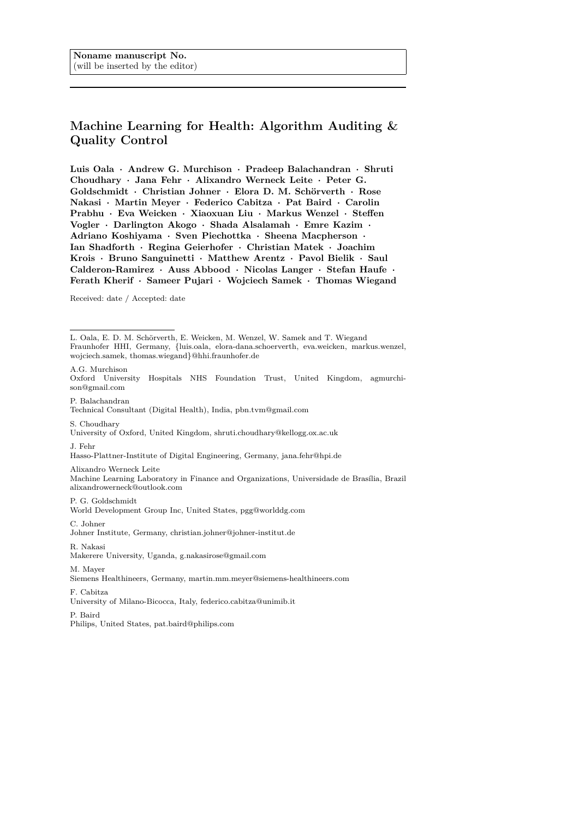# **Machine Learning for Health: Algorithm Auditing & Quality Control**

**Luis Oala · Andrew G. Murchison · Pradeep Balachandran · Shruti Choudhary · Jana Fehr · Alixandro Werneck Leite · Peter G. Goldschmidt · Christian Johner · Elora D. M. Sch¨orverth · Rose Nakasi · Martin Meyer · Federico Cabitza · Pat Baird · Carolin Prabhu · Eva Weicken · Xiaoxuan Liu · Markus Wenzel · Steffen Vogler · Darlington Akogo · Shada Alsalamah · Emre Kazim · Adriano Koshiyama · Sven Piechottka · Sheena Macpherson · Ian Shadforth · Regina Geierhofer · Christian Matek · Joachim Krois · Bruno Sanguinetti · Matthew Arentz · Pavol Bielik · Saul Calderon-Ramirez · Auss Abbood · Nicolas Langer · Stefan Haufe · Ferath Kherif · Sameer Pujari · Wojciech Samek · Thomas Wiegand**

Received: date / Accepted: date

Oxford University Hospitals NHS Foundation Trust, United Kingdom, agmurchison@gmail.com

P. Balachandran Technical Consultant (Digital Health), India, pbn.tvm@gmail.com

S. Choudhary University of Oxford, United Kingdom, shruti.choudhary@kellogg.ox.ac.uk

J. Fehr

Hasso-Plattner-Institute of Digital Engineering, Germany, jana.fehr@hpi.de

Alixandro Werneck Leite Machine Learning Laboratory in Finance and Organizations, Universidade de Brasília, Brazil alixandrowerneck@outlook.com

P. G. Goldschmidt

World Development Group Inc, United States, pgg@worlddg.com

C. Johner Johner Institute, Germany, christian.johner@johner-institut.de

R. Nakasi Makerere University, Uganda, g.nakasirose@gmail.com

M. Mayer

Siemens Healthineers, Germany, martin.mm.meyer@siemens-healthineers.com

F. Cabitza

University of Milano-Bicocca, Italy, federico.cabitza@unimib.it

P. Baird

Philips, United States, pat.baird@philips.com

L. Oala, E. D. M. Schörverth, E. Weicken, M. Wenzel, W. Samek and T. Wiegand Fraunhofer HHI, Germany, {luis.oala, elora-dana.schoerverth, eva.weicken, markus.wenzel, wojciech.samek, thomas.wiegand}@hhi.fraunhofer.de A.G. Murchison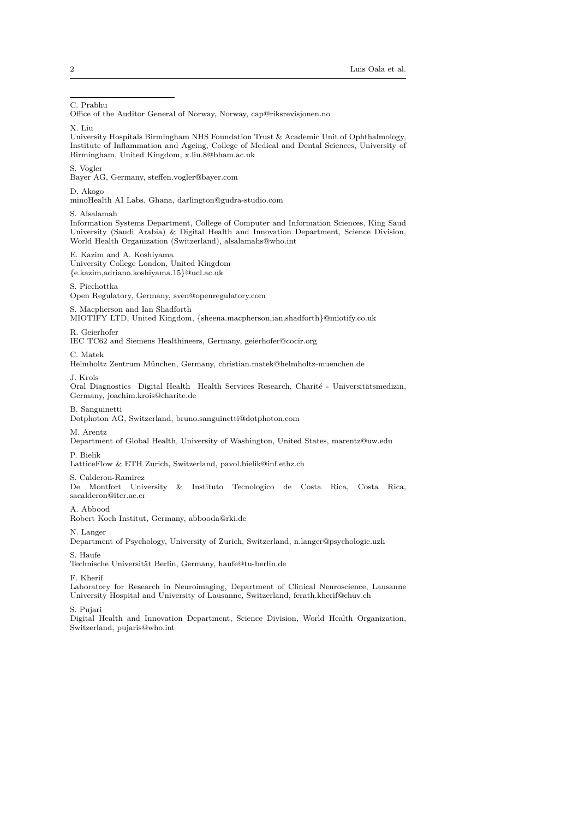C. Prabhu

Office of the Auditor General of Norway, Norway, cap@riksrevisjonen.no

X. Liu

University Hospitals Birmingham NHS Foundation Trust & Academic Unit of Ophthalmology, Institute of Inflammation and Ageing, College of Medical and Dental Sciences, University of Birmingham, United Kingdom, x.liu.8@bham.ac.uk

S. Vogler

Bayer AG, Germany, steffen.vogler@bayer.com

D. Akogo

minoHealth AI Labs, Ghana, darlington@gudra-studio.com

S. Alsalamah

Information Systems Department, College of Computer and Information Sciences, King Saud University (Saudi Arabia) & Digital Health and Innovation Department, Science Division, World Health Organization (Switzerland), alsalamahs@who.int

#### E. Kazim and A. Koshiyama

University College London, United Kingdom {e.kazim,adriano.koshiyama.15}@ucl.ac.uk

#### S. Piechottka

Open Regulatory, Germany, sven@openregulatory.com

S. Macpherson and Ian Shadforth

MIOTIFY LTD, United Kingdom, {sheena.macpherson,ian.shadforth}@miotify.co.uk

#### R. Geierhofer

IEC TC62 and Siemens Healthineers, Germany, geierhofer@cocir.org

C. Matek

Helmholtz Zentrum München, Germany, christian.matek@helmholtz-muenchen.de

J. Krois

Oral Diagnostics Digital Health Health Services Research, Charité - Universitätsmedizin, Germany, joachim.krois@charite.de

B. Sanguinetti

Dotphoton AG, Switzerland, bruno.sanguinetti@dotphoton.com

## M. Arentz

Department of Global Health, University of Washington, United States, marentz@uw.edu

P. Bielik

LatticeFlow & ETH Zurich, Switzerland, pavol.bielik@inf.ethz.ch

S. Calderon-Ramirez

De Montfort University & Instituto Tecnologico de Costa Rica, Costa Rica, sacalderon@itcr.ac.cr

A. Abbood

Robert Koch Institut, Germany, abbooda@rki.de

N. Langer

Department of Psychology, University of Zurich, Switzerland, n.langer@psychologie.uzh

S. Haufe

Technische Universität Berlin, Germany, haufe@tu-berlin.de

F. Kherif

Laboratory for Research in Neuroimaging, Department of Clinical Neuroscience, Lausanne University Hospital and University of Lausanne, Switzerland, ferath.kherif@chuv.ch

S. Pujari

Digital Health and Innovation Department, Science Division, World Health Organization, Switzerland, pujaris@who.int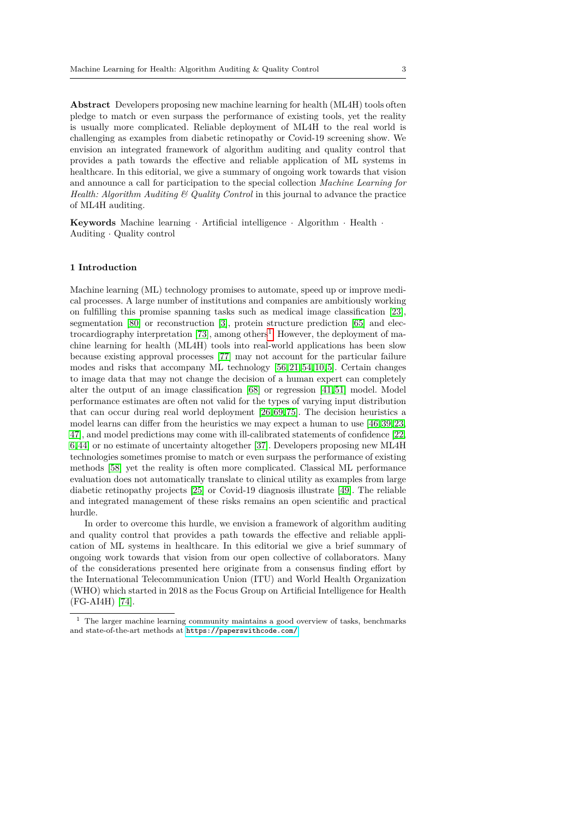**Abstract** Developers proposing new machine learning for health (ML4H) tools often pledge to match or even surpass the performance of existing tools, yet the reality is usually more complicated. Reliable deployment of ML4H to the real world is challenging as examples from diabetic retinopathy or Covid-19 screening show. We envision an integrated framework of algorithm auditing and quality control that provides a path towards the effective and reliable application of ML systems in healthcare. In this editorial, we give a summary of ongoing work towards that vision and announce a call for participation to the special collection *Machine Learning for Health: Algorithm Auditing & Quality Control* in this journal to advance the practice of ML4H auditing.

**Keywords** Machine learning · Artificial intelligence · Algorithm · Health · Auditing · Quality control

## **1 Introduction**

Machine learning (ML) technology promises to automate, speed up or improve medical processes. A large number of institutions and companies are ambitiously working on fulfilling this promise spanning tasks such as medical image classification [\[23\]](#page-8-0), segmentation [\[80\]](#page-11-0) or reconstruction [\[3\]](#page-7-0), protein structure prediction [\[65\]](#page-10-0) and elec-trocardiography interpretation [\[73\]](#page-10-1), among others<sup>[1](#page-2-0)</sup>. However, the deployment of machine learning for health (ML4H) tools into real-world applications has been slow because existing approval processes [\[77\]](#page-10-2) may not account for the particular failure modes and risks that accompany ML technology [\[56,](#page-9-0) [21,](#page-8-1) [54,](#page-9-1) [10,](#page-7-1) [5\]](#page-7-2). Certain changes to image data that may not change the decision of a human expert can completely alter the output of an image classification [\[68\]](#page-10-3) or regression [\[41,](#page-9-2) [51\]](#page-9-3) model. Model performance estimates are often not valid for the types of varying input distribution that can occur during real world deployment [\[26,](#page-8-2) [69,](#page-10-4) [75\]](#page-10-5). The decision heuristics a model learns can differ from the heuristics we may expect a human to use [\[46,](#page-9-4) [39,](#page-8-3) [23,](#page-8-0) [47\]](#page-9-5), and model predictions may come with ill-calibrated statements of confidence [\[22,](#page-8-4) [6,](#page-7-3) [44\]](#page-9-6) or no estimate of uncertainty altogether [\[37\]](#page-8-5). Developers proposing new ML4H technologies sometimes promise to match or even surpass the performance of existing methods [\[58\]](#page-9-7) yet the reality is often more complicated. Classical ML performance evaluation does not automatically translate to clinical utility as examples from large diabetic retinopathy projects [\[25\]](#page-8-6) or Covid-19 diagnosis illustrate [\[49\]](#page-9-8). The reliable and integrated management of these risks remains an open scientific and practical hurdle.

In order to overcome this hurdle, we envision a framework of algorithm auditing and quality control that provides a path towards the effective and reliable application of ML systems in healthcare. In this editorial we give a brief summary of ongoing work towards that vision from our open collective of collaborators. Many of the considerations presented here originate from a consensus finding effort by the International Telecommunication Union (ITU) and World Health Organization (WHO) which started in 2018 as the Focus Group on Artificial Intelligence for Health (FG-AI4H) [\[74\]](#page-10-6).

<span id="page-2-0"></span> $^{\rm 1}$  The larger machine learning community maintains a good overview of tasks, benchmarks and state-of-the-art methods at <https://paperswithcode.com/>.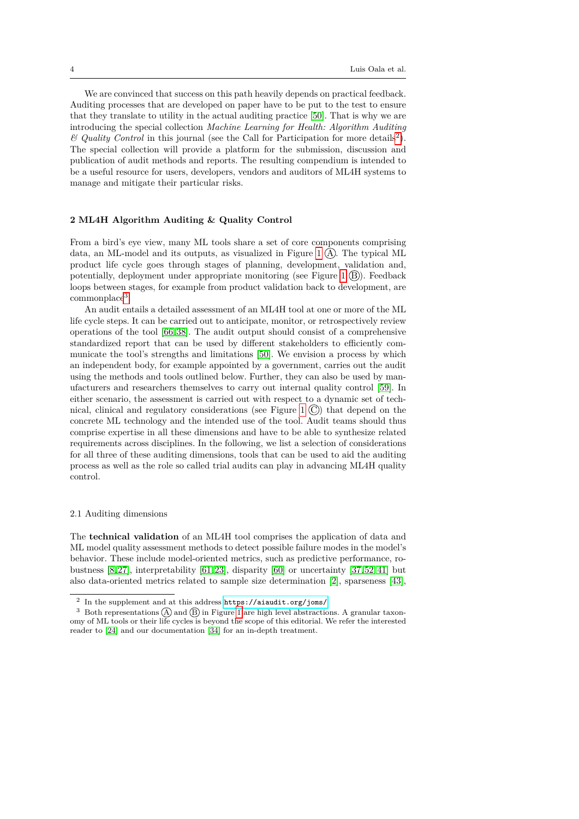We are convinced that success on this path heavily depends on practical feedback. Auditing processes that are developed on paper have to be put to the test to ensure that they translate to utility in the actual auditing practice [\[50\]](#page-9-9). That is why we are introducing the special collection *Machine Learning for Health: Algorithm Auditing*  $\mathscr B$  *Quality Control* in this journal (see the Call for Participation for more details<sup>[2](#page-3-0)</sup>). The special collection will provide a platform for the submission, discussion and publication of audit methods and reports. The resulting compendium is intended to be a useful resource for users, developers, vendors and auditors of ML4H systems to manage and mitigate their particular risks.

## **2 ML4H Algorithm Auditing & Quality Control**

From a bird's eye view, many ML tools share a set of core components comprising data, an ML-model and its outputs, as visualized in Figure [1](#page-4-0)  $(A)$ . The typical ML product life cycle goes through stages of planning, development, validation and, potentially, deployment under appropriate monitoring (see Figure [1](#page-4-0)  $(B)$ ). Feedback loops between stages, for example from product validation back to development, are commonplace<sup>[3](#page-3-1)</sup>.

An audit entails a detailed assessment of an ML4H tool at one or more of the ML life cycle steps. It can be carried out to anticipate, monitor, or retrospectively review operations of the tool [\[66,](#page-10-7) [38\]](#page-8-7). The audit output should consist of a comprehensive standardized report that can be used by different stakeholders to efficiently communicate the tool's strengths and limitations [\[50\]](#page-9-9). We envision a process by which an independent body, for example appointed by a government, carries out the audit using the methods and tools outlined below. Further, they can also be used by manufacturers and researchers themselves to carry out internal quality control [\[59\]](#page-9-10). In either scenario, the assessment is carried out with respect to a dynamic set of tech-nical, clinical and regulatory considerations (see Figure [1](#page-4-0)  $\mathcal{C}$ ) that depend on the concrete ML technology and the intended use of the tool. Audit teams should thus comprise expertise in all these dimensions and have to be able to synthesize related requirements across disciplines. In the following, we list a selection of considerations for all three of these auditing dimensions, tools that can be used to aid the auditing process as well as the role so called trial audits can play in advancing ML4H quality control.

### 2.1 Auditing dimensions

The **technical validation** of an ML4H tool comprises the application of data and ML model quality assessment methods to detect possible failure modes in the model's behavior. These include model-oriented metrics, such as predictive performance, robustness  $[8, 27]$  $[8, 27]$ , interpretability  $[61, 23]$  $[61, 23]$ , disparity  $[60]$  or uncertainty  $[37, 52, 41]$  $[37, 52, 41]$  $[37, 52, 41]$  but also data-oriented metrics related to sample size determination [\[2\]](#page-7-5), sparseness [\[43\]](#page-9-12),

<span id="page-3-1"></span><span id="page-3-0"></span><sup>2</sup> In the supplement and at this address <https://aiaudit.org/joms/>

<sup>&</sup>lt;sup>3</sup> Both representations  $\widehat{A}$  and  $\widehat{B}$  in Figure [1](#page-4-0) are high level abstractions. A granular taxonomy of ML tools or their life cycles is beyond the scope of this editorial. We refer the interested reader to [\[24\]](#page-8-9) and our documentation [\[34\]](#page-8-10) for an in-depth treatment.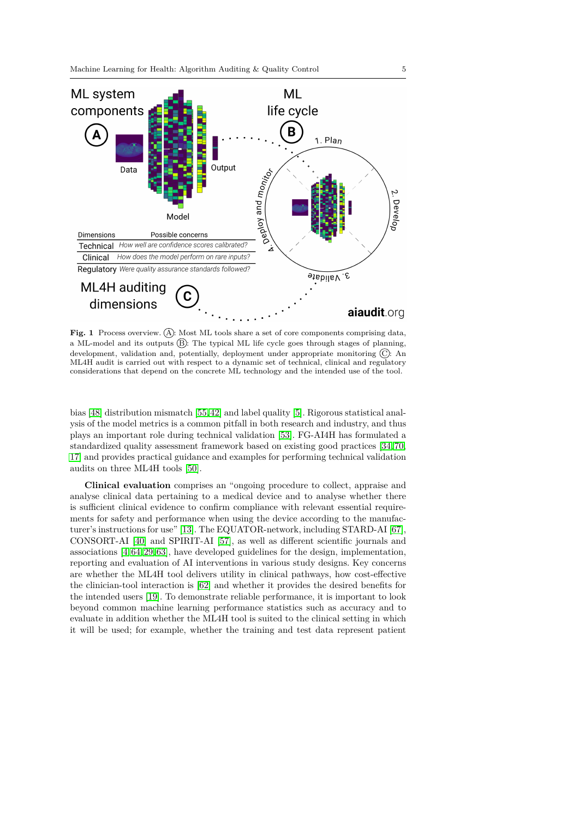

<span id="page-4-0"></span>Fig. 1 Process overview. (A): Most ML tools share a set of core components comprising data, a ML-model and its outputs  $(B)$ : The typical ML life cycle goes through stages of planning, development, validation and, potentially, deployment under appropriate monitoring  $\overline{C}$ : An ML4H audit is carried out with respect to a dynamic set of technical, clinical and regulatory considerations that depend on the concrete ML technology and the intended use of the tool.

bias [\[48\]](#page-9-13) distribution mismatch [\[55,](#page-9-14) [42\]](#page-9-15) and label quality [\[5\]](#page-7-2). Rigorous statistical analysis of the model metrics is a common pitfall in both research and industry, and thus plays an important role during technical validation [\[53\]](#page-9-16). FG-AI4H has formulated a standardized quality assessment framework based on existing good practices [\[34,](#page-8-10) [70,](#page-10-10) [17\]](#page-7-6) and provides practical guidance and examples for performing technical validation audits on three ML4H tools [\[50\]](#page-9-9).

**Clinical evaluation** comprises an "ongoing procedure to collect, appraise and analyse clinical data pertaining to a medical device and to analyse whether there is sufficient clinical evidence to confirm compliance with relevant essential requirements for safety and performance when using the device according to the manufacturer's instructions for use" [\[13\]](#page-7-7). The EQUATOR-network, including STARD-AI [\[67\]](#page-10-11), CONSORT-AI [\[40\]](#page-8-11) and SPIRIT-AI [\[57\]](#page-9-17), as well as different scientific journals and associations [\[4,](#page-7-8) [64,](#page-10-12) [29,](#page-8-12) [63\]](#page-10-13), have developed guidelines for the design, implementation, reporting and evaluation of AI interventions in various study designs. Key concerns are whether the ML4H tool delivers utility in clinical pathways, how cost-effective the clinician-tool interaction is [\[62\]](#page-10-14) and whether it provides the desired benefits for the intended users [\[19\]](#page-7-9). To demonstrate reliable performance, it is important to look beyond common machine learning performance statistics such as accuracy and to evaluate in addition whether the ML4H tool is suited to the clinical setting in which it will be used; for example, whether the training and test data represent patient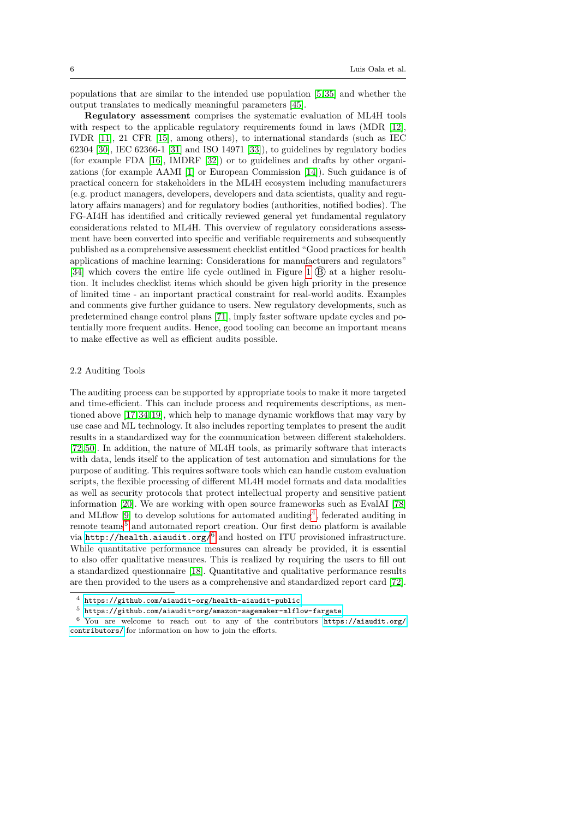populations that are similar to the intended use population [\[5,](#page-7-2) [35\]](#page-8-13) and whether the output translates to medically meaningful parameters [\[45\]](#page-9-18).

**Regulatory assessment** comprises the systematic evaluation of ML4H tools with respect to the applicable regulatory requirements found in laws (MDR [\[12\]](#page-7-10), IVDR [\[11\]](#page-7-11), 21 CFR [\[15\]](#page-7-12), among others), to international standards (such as IEC 62304 [\[30\]](#page-8-14), IEC 62366-1 [\[31\]](#page-8-15) and ISO 14971 [\[33\]](#page-8-16)), to guidelines by regulatory bodies (for example FDA [\[16\]](#page-7-13), IMDRF [\[32\]](#page-8-17)) or to guidelines and drafts by other organizations (for example AAMI [\[1\]](#page-7-14) or European Commission [\[14\]](#page-7-15)). Such guidance is of practical concern for stakeholders in the ML4H ecosystem including manufacturers (e.g. product managers, developers, developers and data scientists, quality and regulatory affairs managers) and for regulatory bodies (authorities, notified bodies). The FG-AI4H has identified and critically reviewed general yet fundamental regulatory considerations related to ML4H. This overview of regulatory considerations assessment have been converted into specific and verifiable requirements and subsequently published as a comprehensive assessment checklist entitled "Good practices for health applications of machine learning: Considerations for manufacturers and regulators" [\[34\]](#page-8-10) which covers the entire life cycle outlined in Figure [1](#page-4-0)  $(\overline{B})$  at a higher resolution. It includes checklist items which should be given high priority in the presence of limited time - an important practical constraint for real-world audits. Examples and comments give further guidance to users. New regulatory developments, such as predetermined change control plans [\[71\]](#page-10-15), imply faster software update cycles and potentially more frequent audits. Hence, good tooling can become an important means to make effective as well as efficient audits possible.

## 2.2 Auditing Tools

The auditing process can be supported by appropriate tools to make it more targeted and time-efficient. This can include process and requirements descriptions, as mentioned above [\[17,](#page-7-6) [34,](#page-8-10) [19\]](#page-7-9), which help to manage dynamic workflows that may vary by use case and ML technology. It also includes reporting templates to present the audit results in a standardized way for the communication between different stakeholders. [\[72,](#page-10-16) [50\]](#page-9-9). In addition, the nature of ML4H tools, as primarily software that interacts with data, lends itself to the application of test automation and simulations for the purpose of auditing. This requires software tools which can handle custom evaluation scripts, the flexible processing of different ML4H model formats and data modalities as well as security protocols that protect intellectual property and sensitive patient information [\[20\]](#page-8-18). We are working with open source frameworks such as EvalAI [\[78\]](#page-11-1) and MLflow  $[9]$  to develop solutions for automated auditing<sup>[4](#page-5-0)</sup>, federated auditing in remote teams<sup>[5](#page-5-1)</sup> and automated report creation. Our first demo platform is available via <http://health.aiaudit.org/> $^6$  $^6$  and hosted on ITU provisioned infrastructure. While quantitative performance measures can already be provided, it is essential to also offer qualitative measures. This is realized by requiring the users to fill out a standardized questionnaire [\[18\]](#page-7-17). Quantitative and qualitative performance results are then provided to the users as a comprehensive and standardized report card [\[72\]](#page-10-16).

<span id="page-5-0"></span> $^4\,$ <https://github.com/aiaudit-org/health-aiaudit-public>

<span id="page-5-2"></span><span id="page-5-1"></span><sup>5</sup> <https://github.com/aiaudit-org/amazon-sagemaker-mlflow-fargate>

<sup>6</sup> You are welcome to reach out to any of the contributors [https://aiaudit.org/](https://aiaudit.org/contributors/) [contributors/](https://aiaudit.org/contributors/) for information on how to join the efforts.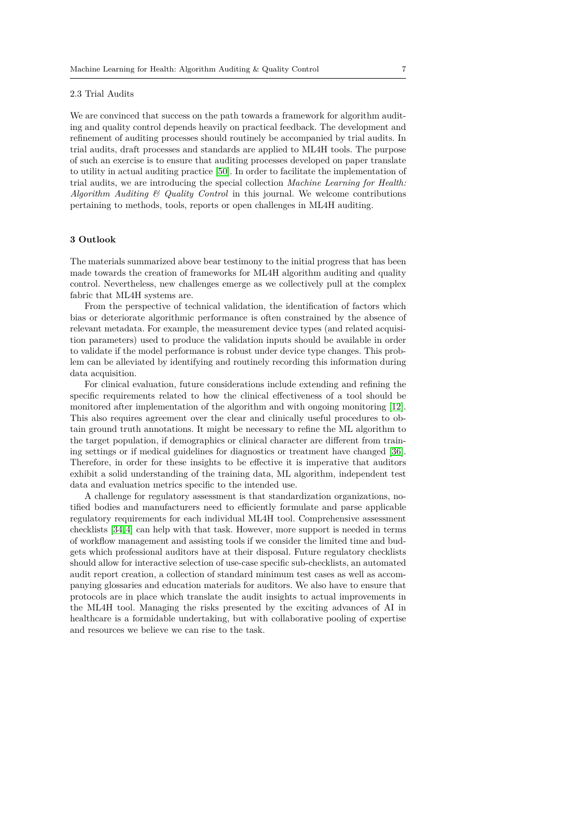#### 2.3 Trial Audits

We are convinced that success on the path towards a framework for algorithm auditing and quality control depends heavily on practical feedback. The development and refinement of auditing processes should routinely be accompanied by trial audits. In trial audits, draft processes and standards are applied to ML4H tools. The purpose of such an exercise is to ensure that auditing processes developed on paper translate to utility in actual auditing practice [\[50\]](#page-9-9). In order to facilitate the implementation of trial audits, we are introducing the special collection *Machine Learning for Health: Algorithm Auditing & Quality Control* in this journal. We welcome contributions pertaining to methods, tools, reports or open challenges in ML4H auditing.

## **3 Outlook**

The materials summarized above bear testimony to the initial progress that has been made towards the creation of frameworks for ML4H algorithm auditing and quality control. Nevertheless, new challenges emerge as we collectively pull at the complex fabric that ML4H systems are.

From the perspective of technical validation, the identification of factors which bias or deteriorate algorithmic performance is often constrained by the absence of relevant metadata. For example, the measurement device types (and related acquisition parameters) used to produce the validation inputs should be available in order to validate if the model performance is robust under device type changes. This problem can be alleviated by identifying and routinely recording this information during data acquisition.

For clinical evaluation, future considerations include extending and refining the specific requirements related to how the clinical effectiveness of a tool should be monitored after implementation of the algorithm and with ongoing monitoring [\[12\]](#page-7-10). This also requires agreement over the clear and clinically useful procedures to obtain ground truth annotations. It might be necessary to refine the ML algorithm to the target population, if demographics or clinical character are different from training settings or if medical guidelines for diagnostics or treatment have changed [\[36\]](#page-8-19). Therefore, in order for these insights to be effective it is imperative that auditors exhibit a solid understanding of the training data, ML algorithm, independent test data and evaluation metrics specific to the intended use.

A challenge for regulatory assessment is that standardization organizations, notified bodies and manufacturers need to efficiently formulate and parse applicable regulatory requirements for each individual ML4H tool. Comprehensive assessment checklists [\[34,](#page-8-10) [4\]](#page-7-8) can help with that task. However, more support is needed in terms of workflow management and assisting tools if we consider the limited time and budgets which professional auditors have at their disposal. Future regulatory checklists should allow for interactive selection of use-case specific sub-checklists, an automated audit report creation, a collection of standard minimum test cases as well as accompanying glossaries and education materials for auditors. We also have to ensure that protocols are in place which translate the audit insights to actual improvements in the ML4H tool. Managing the risks presented by the exciting advances of AI in healthcare is a formidable undertaking, but with collaborative pooling of expertise and resources we believe we can rise to the task.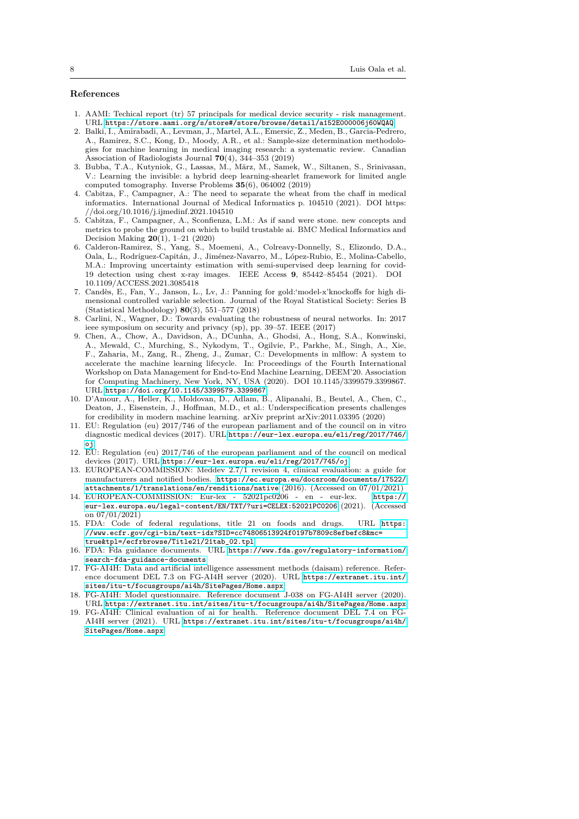### **References**

- <span id="page-7-14"></span>1. AAMI: Techical report (tr) 57 principals for medical device security - risk management. URL <https://store.aami.org/s/store#/store/browse/detail/a152E000006j60WQAQ>
- <span id="page-7-5"></span>2. Balki, I., Amirabadi, A., Levman, J., Martel, A.L., Emersic, Z., Meden, B., Garcia-Pedrero, A., Ramirez, S.C., Kong, D., Moody, A.R., et al.: Sample-size determination methodologies for machine learning in medical imaging research: a systematic review. Canadian Association of Radiologists Journal **70**(4), 344–353 (2019)
- <span id="page-7-0"></span>3. Bubba, T.A., Kutyniok, G., Lassas, M., März, M., Samek, W., Siltanen, S., Srinivasan, V.: Learning the invisible: a hybrid deep learning-shearlet framework for limited angle computed tomography. Inverse Problems **35**(6), 064002 (2019)
- <span id="page-7-8"></span>4. Cabitza, F., Campagner, A.: The need to separate the wheat from the chaff in medical informatics. International Journal of Medical Informatics p. 104510 (2021). DOI https: //doi.org/10.1016/j.ijmedinf.2021.104510
- <span id="page-7-2"></span>5. Cabitza, F., Campagner, A., Sconfienza, L.M.: As if sand were stone. new concepts and metrics to probe the ground on which to build trustable ai. BMC Medical Informatics and Decision Making **20**(1), 1–21 (2020)
- <span id="page-7-3"></span>6. Calderon-Ramirez, S., Yang, S., Moemeni, A., Colreavy-Donnelly, S., Elizondo, D.A., Oala, L., Rodríguez-Capitán, J., Jiménez-Navarro, M., López-Rubio, E., Molina-Cabello, M.A.: Improving uncertainty estimation with semi-supervised deep learning for covid-19 detection using chest x-ray images. IEEE Access **9**, 85442–85454 (2021). DOI 10.1109/ACCESS.2021.3085418
- <span id="page-7-18"></span>7. Cand`es, E., Fan, Y., Janson, L., Lv, J.: Panning for gold:'model-x'knockoffs for high dimensional controlled variable selection. Journal of the Royal Statistical Society: Series B (Statistical Methodology) **80**(3), 551–577 (2018)
- <span id="page-7-4"></span>8. Carlini, N., Wagner, D.: Towards evaluating the robustness of neural networks. In: 2017 ieee symposium on security and privacy (sp), pp. 39–57. IEEE (2017)
- <span id="page-7-16"></span>9. Chen, A., Chow, A., Davidson, A., DCunha, A., Ghodsi, A., Hong, S.A., Konwinski, A., Mewald, C., Murching, S., Nykodym, T., Ogilvie, P., Parkhe, M., Singh, A., Xie, F., Zaharia, M., Zang, R., Zheng, J., Zumar, C.: Developments in mlflow: A system to accelerate the machine learning lifecycle. In: Proceedings of the Fourth International Workshop on Data Management for End-to-End Machine Learning, DEEM'20. Association for Computing Machinery, New York, NY, USA (2020). DOI 10.1145/3399579.3399867. URL <https://doi.org/10.1145/3399579.3399867>
- <span id="page-7-1"></span>10. D'Amour, A., Heller, K., Moldovan, D., Adlam, B., Alipanahi, B., Beutel, A., Chen, C., Deaton, J., Eisenstein, J., Hoffman, M.D., et al.: Underspecification presents challenges for credibility in modern machine learning. arXiv preprint arXiv:2011.03395 (2020)
- <span id="page-7-11"></span>11. EU: Regulation (eu) 2017/746 of the european parliament and of the council on in vitro diagnostic medical devices (2017). URL [https://eur-lex.europa.eu/eli/reg/2017/746/](https://eur-lex.europa.eu/eli/reg/2017/746/oj) [oj](https://eur-lex.europa.eu/eli/reg/2017/746/oj)
- <span id="page-7-10"></span>12. EU: Regulation (eu) 2017/746 of the european parliament and of the council on medical devices (2017). URL <https://eur-lex.europa.eu/eli/reg/2017/745/oj>
- <span id="page-7-7"></span>13. EUROPEAN-COMMISSION: Meddev 2.7/1 revision 4, clinical evaluation: a guide for manufacturers and notified bodies. [https://ec.europa.eu/docsroom/documents/17522/](https://ec.europa.eu/docsroom/documents/17522/attachments/1/translations/en/renditions/native) [attachments/1/translations/en/renditions/native](https://ec.europa.eu/docsroom/documents/17522/attachments/1/translations/en/renditions/native) (2016). (Accessed on 07/01/2021)
- <span id="page-7-15"></span>14. EUROPEAN-COMMISSION: Eur-lex - 52021pc0206 - en - eur-lex. [https://](https://eur-lex.europa.eu/legal-content/EN/TXT/?uri=CELEX:52021PC0206) [eur-lex.europa.eu/legal-content/EN/TXT/?uri=CELEX:52021PC0206](https://eur-lex.europa.eu/legal-content/EN/TXT/?uri=CELEX:52021PC0206) (2021). (Accessed on 07/01/2021)
- <span id="page-7-12"></span>15. FDA: Code of federal regulations, title 21 on foods and drugs. URL [https:](https://www.ecfr.gov/cgi-bin/text-idx?SID=cc74806513924f0197b7809c8efbefc8&mc=true&tpl=/ecfrbrowse/Title21/21tab_02.tpl) [//www.ecfr.gov/cgi-bin/text-idx?SID=cc74806513924f0197b7809c8efbefc8&mc=](https://www.ecfr.gov/cgi-bin/text-idx?SID=cc74806513924f0197b7809c8efbefc8&mc=true&tpl=/ecfrbrowse/Title21/21tab_02.tpl) [true&tpl=/ecfrbrowse/Title21/21tab\\_02.tpl](https://www.ecfr.gov/cgi-bin/text-idx?SID=cc74806513924f0197b7809c8efbefc8&mc=true&tpl=/ecfrbrowse/Title21/21tab_02.tpl)
- <span id="page-7-13"></span>16. FDA: Fda guidance documents. URL [https://www.fda.gov/regulatory-information/](https://www.fda.gov/regulatory-information/search-fda-guidance-documents) [search-fda-guidance-documents](https://www.fda.gov/regulatory-information/search-fda-guidance-documents)
- <span id="page-7-6"></span>17. FG-AI4H: Data and artificial intelligence assessment methods (daisam) reference. Reference document DEL 7.3 on FG-AI4H server (2020). URL [https://extranet.itu.int/](https://extranet.itu.int/sites/itu-t/focusgroups/ai4h/SitePages/Home.aspx) [sites/itu-t/focusgroups/ai4h/SitePages/Home.aspx](https://extranet.itu.int/sites/itu-t/focusgroups/ai4h/SitePages/Home.aspx)
- <span id="page-7-17"></span>18. FG-AI4H: Model questionnaire. Reference document J-038 on FG-AI4H server (2020). URL <https://extranet.itu.int/sites/itu-t/focusgroups/ai4h/SitePages/Home.aspx>
- <span id="page-7-9"></span>19. FG-AI4H: Clinical evaluation of ai for health. Reference document DEL 7.4 on FG-AI4H server (2021). URL [https://extranet.itu.int/sites/itu-t/focusgroups/ai4h/](https://extranet.itu.int/sites/itu-t/focusgroups/ai4h/SitePages/Home.aspx) [SitePages/Home.aspx](https://extranet.itu.int/sites/itu-t/focusgroups/ai4h/SitePages/Home.aspx)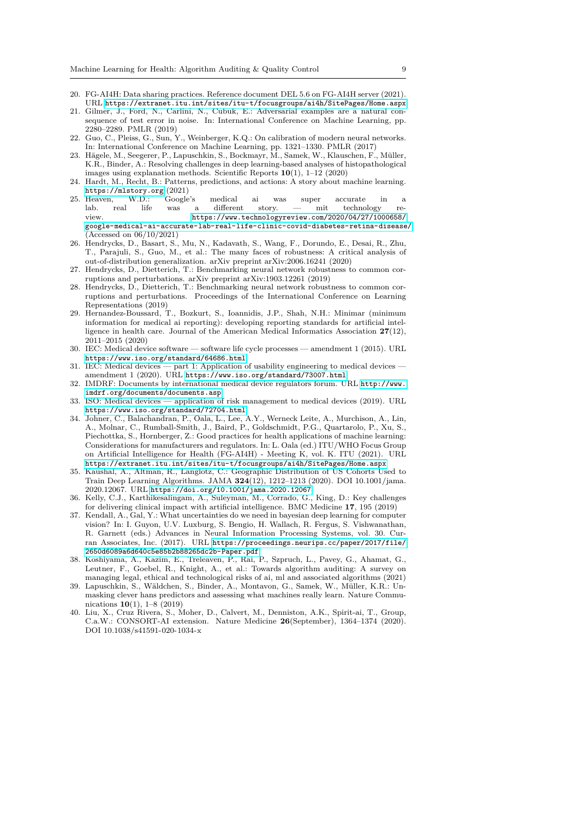- <span id="page-8-18"></span>20. FG-AI4H: Data sharing practices. Reference document DEL 5.6 on FG-AI4H server (2021). URL <https://extranet.itu.int/sites/itu-t/focusgroups/ai4h/SitePages/Home.aspx>
- <span id="page-8-1"></span>21. Gilmer, J., Ford, N., Carlini, N., Cubuk, E.: Adversarial examples are a natural consequence of test error in noise. In: International Conference on Machine Learning, pp. 2280–2289. PMLR (2019)
- <span id="page-8-4"></span>22. Guo, C., Pleiss, G., Sun, Y., Weinberger, K.Q.: On calibration of modern neural networks. In: International Conference on Machine Learning, pp. 1321–1330. PMLR (2017)
- <span id="page-8-0"></span>23. Hägele, M., Seegerer, P., Lapuschkin, S., Bockmayr, M., Samek, W., Klauschen, F., Müller, K.R., Binder, A.: Resolving challenges in deep learning-based analyses of histopathological images using explanation methods. Scientific Reports **10**(1), 1–12 (2020)
- <span id="page-8-9"></span>24. Hardt, M., Recht, B.: Patterns, predictions, and actions: A story about machine learning. <https://mlstory.org> (2021)<br>Heaven, W.D.: Google's
- <span id="page-8-6"></span>25. Heaven, W.D.: Google's medical ai was super accurate in a lab. real life was a different story. — mit technology review. [https://www.technologyreview.com/2020/04/27/1000658/](https://www.technologyreview.com/2020/04/27/1000658/google-medical-ai-accurate-lab-real-life-clinic-covid-diabetes-retina-disease/) [google-medical-ai-accurate-lab-real-life-clinic-covid-diabetes-retina-disease/](https://www.technologyreview.com/2020/04/27/1000658/google-medical-ai-accurate-lab-real-life-clinic-covid-diabetes-retina-disease/). (Accessed on 06/10/2021)
- <span id="page-8-2"></span>26. Hendrycks, D., Basart, S., Mu, N., Kadavath, S., Wang, F., Dorundo, E., Desai, R., Zhu, T., Parajuli, S., Guo, M., et al.: The many faces of robustness: A critical analysis of out-of-distribution generalization. arXiv preprint arXiv:2006.16241 (2020)
- <span id="page-8-8"></span>27. Hendrycks, D., Dietterich, T.: Benchmarking neural network robustness to common corruptions and perturbations. arXiv preprint arXiv:1903.12261 (2019)
- <span id="page-8-20"></span>28. Hendrycks, D., Dietterich, T.: Benchmarking neural network robustness to common corruptions and perturbations. Proceedings of the International Conference on Learning Representations (2019)
- <span id="page-8-12"></span>29. Hernandez-Boussard, T., Bozkurt, S., Ioannidis, J.P., Shah, N.H.: Minimar (minimum information for medical ai reporting): developing reporting standards for artificial intelligence in health care. Journal of the American Medical Informatics Association **27**(12), 2011–2015 (2020)
- <span id="page-8-14"></span>30. IEC: Medical device software — software life cycle processes — amendment 1 (2015). URL <https://www.iso.org/standard/64686.html>
- <span id="page-8-15"></span>31. IEC: Medical devices — part 1: Application of usability engineering to medical devices amendment 1 (2020). URL <https://www.iso.org/standard/73007.html>
- <span id="page-8-17"></span>32. IMDRF: Documents by international medical device regulators forum. URL [http://www.](http://www.imdrf.org/documents/documents.asp) [imdrf.org/documents/documents.asp](http://www.imdrf.org/documents/documents.asp)
- <span id="page-8-16"></span>33. ISO: Medical devices — application of risk management to medical devices (2019). URL <https://www.iso.org/standard/72704.html>
- <span id="page-8-10"></span>34. Johner, C., Balachandran, P., Oala, L., Lee, A.Y., Werneck Leite, A., Murchison, A., Lin, A., Molnar, C., Rumball-Smith, J., Baird, P., Goldschmidt, P.G., Quartarolo, P., Xu, S., Piechottka, S., Hornberger, Z.: Good practices for health applications of machine learning: Considerations for manufacturers and regulators. In: L. Oala (ed.) ITU/WHO Focus Group on Artificial Intelligence for Health (FG-AI4H) - Meeting K, vol. K. ITU (2021). URL <https://extranet.itu.int/sites/itu-t/focusgroups/ai4h/SitePages/Home.aspx>
- <span id="page-8-13"></span>35. Kaushal, A., Altman, R., Langlotz, C.: Geographic Distribution of US Cohorts Used to Train Deep Learning Algorithms. JAMA **324**(12), 1212–1213 (2020). DOI 10.1001/jama. 2020.12067. URL <https://doi.org/10.1001/jama.2020.12067>
- <span id="page-8-19"></span>36. Kelly, C.J., Karthikesalingam, A., Suleyman, M., Corrado, G., King, D.: Key challenges for delivering clinical impact with artificial intelligence. BMC Medicine **17**, 195 (2019)
- <span id="page-8-5"></span>37. Kendall, A., Gal, Y.: What uncertainties do we need in bayesian deep learning for computer vision? In: I. Guyon, U.V. Luxburg, S. Bengio, H. Wallach, R. Fergus, S. Vishwanathan, R. Garnett (eds.) Advances in Neural Information Processing Systems, vol. 30. Curran Associates, Inc. (2017). URL [https://proceedings.neurips.cc/paper/2017/file/](https://proceedings.neurips.cc/paper/2017/file/2650d6089a6d640c5e85b2b88265dc2b-Paper.pdf) [2650d6089a6d640c5e85b2b88265dc2b-Paper.pdf](https://proceedings.neurips.cc/paper/2017/file/2650d6089a6d640c5e85b2b88265dc2b-Paper.pdf)
- <span id="page-8-7"></span>38. Koshiyama, A., Kazim, E., Treleaven, P., Rai, P., Szpruch, L., Pavey, G., Ahamat, G., Leutner, F., Goebel, R., Knight, A., et al.: Towards algorithm auditing: A survey on managing legal, ethical and technological risks of ai, ml and associated algorithms (2021)
- <span id="page-8-3"></span>39. Lapuschkin, S., W¨aldchen, S., Binder, A., Montavon, G., Samek, W., M¨uller, K.R.: Unmasking clever hans predictors and assessing what machines really learn. Nature Communications **10**(1), 1–8 (2019)
- <span id="page-8-11"></span>40. Liu, X., Cruz Rivera, S., Moher, D., Calvert, M., Denniston, A.K., Spirit-ai, T., Group, C.a.W.: CONSORT-AI extension. Nature Medicine **26**(September), 1364–1374 (2020). DOI 10.1038/s41591-020-1034-x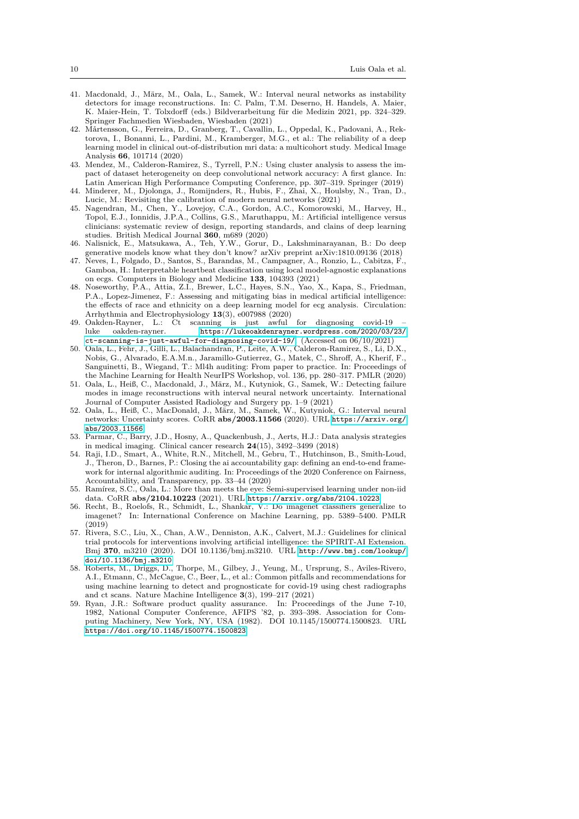- <span id="page-9-2"></span>41. Macdonald, J., März, M., Oala, L., Samek, W.: Interval neural networks as instability detectors for image reconstructions. In: C. Palm, T.M. Deserno, H. Handels, A. Maier, K. Maier-Hein, T. Tolxdorff (eds.) Bildverarbeitung für die Medizin 2021, pp. 324-329. Springer Fachmedien Wiesbaden, Wiesbaden (2021)
- <span id="page-9-15"></span>42. Mårtensson, G., Ferreira, D., Granberg, T., Cavallin, L., Oppedal, K., Padovani, A., Rektorova, I., Bonanni, L., Pardini, M., Kramberger, M.G., et al.: The reliability of a deep learning model in clinical out-of-distribution mri data: a multicohort study. Medical Image Analysis **66**, 101714 (2020)
- <span id="page-9-12"></span>43. Mendez, M., Calderon-Ramirez, S., Tyrrell, P.N.: Using cluster analysis to assess the impact of dataset heterogeneity on deep convolutional network accuracy: A first glance. In: Latin American High Performance Computing Conference, pp. 307–319. Springer (2019)
- <span id="page-9-6"></span>44. Minderer, M., Djolonga, J., Romijnders, R., Hubis, F., Zhai, X., Houlsby, N., Tran, D., Lucic, M.: Revisiting the calibration of modern neural networks (2021)
- <span id="page-9-18"></span>45. Nagendran, M., Chen, Y., Lovejoy, C.A., Gordon, A.C., Komorowski, M., Harvey, H., Topol, E.J., Ionnidis, J.P.A., Collins, G.S., Maruthappu, M.: Artificial intelligence versus clinicians: systematic review of design, reporting standards, and clains of deep learning studies. British Medical Journal **360**, m689 (2020)
- <span id="page-9-4"></span>46. Nalisnick, E., Matsukawa, A., Teh, Y.W., Gorur, D., Lakshminarayanan, B.: Do deep generative models know what they don't know? arXiv preprint arXiv:1810.09136 (2018)
- <span id="page-9-5"></span>47. Neves, I., Folgado, D., Santos, S., Barandas, M., Campagner, A., Ronzio, L., Cabitza, F., Gamboa, H.: Interpretable heartbeat classification using local model-agnostic explanations on ecgs. Computers in Biology and Medicine **133**, 104393 (2021)
- <span id="page-9-13"></span>48. Noseworthy, P.A., Attia, Z.I., Brewer, L.C., Hayes, S.N., Yao, X., Kapa, S., Friedman, P.A., Lopez-Jimenez, F.: Assessing and mitigating bias in medical artificial intelligence: the effects of race and ethnicity on a deep learning model for ecg analysis. Circulation: Arrhythmia and Electrophysiology **13**(3), e007988 (2020)
- <span id="page-9-8"></span>49. Oakden-Rayner, L.: Ct scanning is just awful for diagnosing covid-19 luke oakden-rayner. [https://lukeoakdenrayner.wordpress.com/2020/03/23/](https://lukeoakdenrayner.wordpress.com/2020/03/23/ct-scanning-is-just-awful-for-diagnosing-covid-19/) [ct-scanning-is-just-awful-for-diagnosing-covid-19/](https://lukeoakdenrayner.wordpress.com/2020/03/23/ct-scanning-is-just-awful-for-diagnosing-covid-19/). (Accessed on 06/10/2021)
- <span id="page-9-9"></span>50. Oala, L., Fehr, J., Gilli, L., Balachandran, P., Leite, A.W., Calderon-Ramirez, S., Li, D.X., Nobis, G., Alvarado, E.A.M.n., Jaramillo-Gutierrez, G., Matek, C., Shroff, A., Kherif, F., Sanguinetti, B., Wiegand, T.: Ml4h auditing: From paper to practice. In: Proceedings of the Machine Learning for Health NeurIPS Workshop, vol. 136, pp. 280–317. PMLR (2020)
- <span id="page-9-3"></span>51. Oala, L., Heiß, C., Macdonald, J., März, M., Kutyniok, G., Samek, W.: Detecting failure modes in image reconstructions with interval neural network uncertainty. International Journal of Computer Assisted Radiology and Surgery pp. 1–9 (2021)
- <span id="page-9-11"></span>52. Oala, L., Heiß, C., MacDonald, J., März, M., Samek, W., Kutyniok, G.: Interval neural networks: Uncertainty scores. CoRR **abs/2003.11566** (2020). URL [https://arxiv.org/](https://arxiv.org/abs/2003.11566) [abs/2003.11566](https://arxiv.org/abs/2003.11566)
- <span id="page-9-16"></span>53. Parmar, C., Barry, J.D., Hosny, A., Quackenbush, J., Aerts, H.J.: Data analysis strategies in medical imaging. Clinical cancer research **24**(15), 3492–3499 (2018)
- <span id="page-9-1"></span>54. Raji, I.D., Smart, A., White, R.N., Mitchell, M., Gebru, T., Hutchinson, B., Smith-Loud, J., Theron, D., Barnes, P.: Closing the ai accountability gap: defining an end-to-end framework for internal algorithmic auditing. In: Proceedings of the 2020 Conference on Fairness, Accountability, and Transparency, pp. 33–44 (2020)
- <span id="page-9-14"></span>55. Ramírez, S.C., Oala, L.: More than meets the eye: Semi-supervised learning under non-iid data. CoRR **abs/2104.10223** (2021). URL <https://arxiv.org/abs/2104.10223>
- <span id="page-9-0"></span>56. Recht, B., Roelofs, R., Schmidt, L., Shankar, V.: Do imagenet classifiers generalize to imagenet? In: International Conference on Machine Learning, pp. 5389–5400. PMLR (2019)
- <span id="page-9-17"></span>57. Rivera, S.C., Liu, X., Chan, A.W., Denniston, A.K., Calvert, M.J.: Guidelines for clinical trial protocols for interventions involving artificial intelligence: the SPIRIT-AI Extension. Bmj **370**, m3210 (2020). DOI 10.1136/bmj.m3210. URL [http://www.bmj.com/lookup/](http://www.bmj.com/lookup/doi/10.1136/bmj.m3210) [doi/10.1136/bmj.m3210](http://www.bmj.com/lookup/doi/10.1136/bmj.m3210)
- <span id="page-9-7"></span>58. Roberts, M., Driggs, D., Thorpe, M., Gilbey, J., Yeung, M., Ursprung, S., Aviles-Rivero, A.I., Etmann, C., McCague, C., Beer, L., et al.: Common pitfalls and recommendations for using machine learning to detect and prognosticate for covid-19 using chest radiographs and ct scans. Nature Machine Intelligence **3**(3), 199–217 (2021)
- <span id="page-9-10"></span>59. Ryan, J.R.: Software product quality assurance. In: Proceedings of the June 7-10, 1982, National Computer Conference, AFIPS '82, p. 393–398. Association for Computing Machinery, New York, NY, USA (1982). DOI 10.1145/1500774.1500823. URL <https://doi.org/10.1145/1500774.1500823>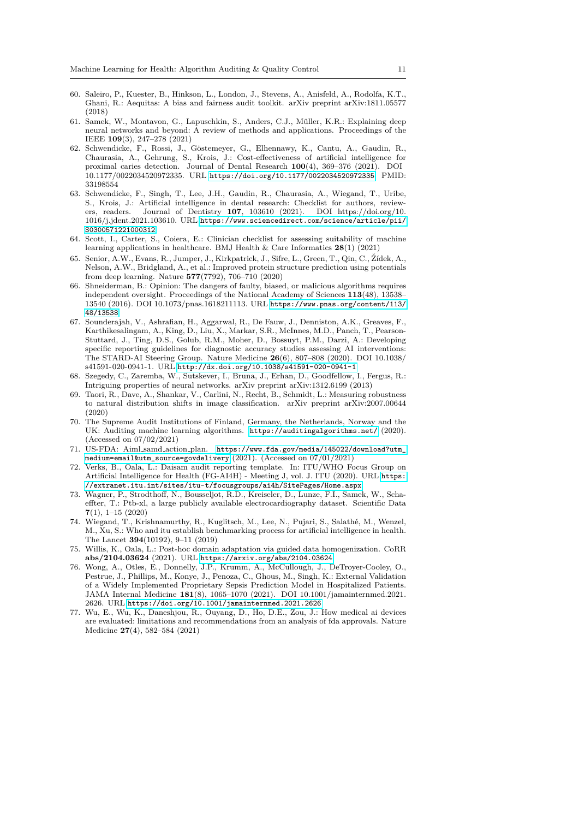- <span id="page-10-9"></span>60. Saleiro, P., Kuester, B., Hinkson, L., London, J., Stevens, A., Anisfeld, A., Rodolfa, K.T., Ghani, R.: Aequitas: A bias and fairness audit toolkit. arXiv preprint arXiv:1811.05577 (2018)
- <span id="page-10-8"></span>61. Samek, W., Montavon, G., Lapuschkin, S., Anders, C.J., M¨uller, K.R.: Explaining deep neural networks and beyond: A review of methods and applications. Proceedings of the IEEE **109**(3), 247–278 (2021)
- <span id="page-10-14"></span>62. Schwendicke, F., Rossi, J., G¨ostemeyer, G., Elhennawy, K., Cantu, A., Gaudin, R., Chaurasia, A., Gehrung, S., Krois, J.: Cost-effectiveness of artificial intelligence for proximal caries detection. Journal of Dental Research **100**(4), 369–376 (2021). DOI 10.1177/0022034520972335. URL <https://doi.org/10.1177/0022034520972335>. PMID: 33198554
- <span id="page-10-13"></span>63. Schwendicke, F., Singh, T., Lee, J.H., Gaudin, R., Chaurasia, A., Wiegand, T., Uribe, S., Krois, J.: Artificial intelligence in dental research: Checklist for authors, reviewers, readers. Journal of Dentistry **107**, 103610 (2021). DOI https://doi.org/10. 1016/j.jdent.2021.103610. URL [https://www.sciencedirect.com/science/article/pii/](https://www.sciencedirect.com/science/article/pii/S0300571221000312) [S0300571221000312](https://www.sciencedirect.com/science/article/pii/S0300571221000312)
- <span id="page-10-12"></span>64. Scott, I., Carter, S., Coiera, E.: Clinician checklist for assessing suitability of machine learning applications in healthcare. BMJ Health & Care Informatics **28**(1) (2021)
- <span id="page-10-0"></span>65. Senior, A.W., Evans, R., Jumper, J., Kirkpatrick, J., Sifre, L., Green, T., Qin, C., Žídek, A., Nelson, A.W., Bridgland, A., et al.: Improved protein structure prediction using potentials from deep learning. Nature **577**(7792), 706–710 (2020)
- <span id="page-10-7"></span>66. Shneiderman, B.: Opinion: The dangers of faulty, biased, or malicious algorithms requires independent oversight. Proceedings of the National Academy of Sciences **113**(48), 13538– 13540 (2016). DOI 10.1073/pnas.1618211113. URL [https://www.pnas.org/content/113/](https://www.pnas.org/content/113/48/13538) [48/13538](https://www.pnas.org/content/113/48/13538)
- <span id="page-10-11"></span>67. Sounderajah, V., Ashrafian, H., Aggarwal, R., De Fauw, J., Denniston, A.K., Greaves, F., Karthikesalingam, A., King, D., Liu, X., Markar, S.R., McInnes, M.D., Panch, T., Pearson-Stuttard, J., Ting, D.S., Golub, R.M., Moher, D., Bossuyt, P.M., Darzi, A.: Developing specific reporting guidelines for diagnostic accuracy studies assessing AI interventions: The STARD-AI Steering Group. Nature Medicine **26**(6), 807–808 (2020). DOI 10.1038/ s41591-020-0941-1. URL <http://dx.doi.org/10.1038/s41591-020-0941-1>
- <span id="page-10-3"></span>68. Szegedy, C., Zaremba, W., Sutskever, I., Bruna, J., Erhan, D., Goodfellow, I., Fergus, R.: Intriguing properties of neural networks. arXiv preprint arXiv:1312.6199 (2013)
- <span id="page-10-4"></span>69. Taori, R., Dave, A., Shankar, V., Carlini, N., Recht, B., Schmidt, L.: Measuring robustness to natural distribution shifts in image classification. arXiv preprint arXiv:2007.00644 (2020)
- <span id="page-10-10"></span>70. The Supreme Audit Institutions of Finland, Germany, the Netherlands, Norway and the UK: Auditing machine learning algorithms. <https://auditingalgorithms.net/> (2020). (Accessed on 07/02/2021)
- <span id="page-10-15"></span>71. US-FDA: Aiml samd action plan. [https://www.fda.gov/media/145022/download?utm\\_](https://www.fda.gov/media/145022/download?utm_medium=email&utm_source=govdelivery) [medium=email&utm\\_source=govdelivery](https://www.fda.gov/media/145022/download?utm_medium=email&utm_source=govdelivery) (2021). (Accessed on 07/01/2021)
- <span id="page-10-16"></span>72. Verks, B., Oala, L.: Daisam audit reporting template. In: ITU/WHO Focus Group on Artificial Intelligence for Health (FG-AI4H) - Meeting J, vol. J. ITU (2020). URL [https:](https://extranet.itu.int/sites/itu-t/focusgroups/ai4h/SitePages/Home.aspx) [//extranet.itu.int/sites/itu-t/focusgroups/ai4h/SitePages/Home.aspx](https://extranet.itu.int/sites/itu-t/focusgroups/ai4h/SitePages/Home.aspx)
- <span id="page-10-1"></span>73. Wagner, P., Strodthoff, N., Bousseljot, R.D., Kreiseler, D., Lunze, F.I., Samek, W., Schaeffter, T.: Ptb-xl, a large publicly available electrocardiography dataset. Scientific Data **7**(1), 1–15 (2020)
- <span id="page-10-6"></span>74. Wiegand, T., Krishnamurthy, R., Kuglitsch, M., Lee, N., Pujari, S., Salath´e, M., Wenzel, M., Xu, S.: Who and itu establish benchmarking process for artificial intelligence in health. The Lancet **394**(10192), 9–11 (2019)
- <span id="page-10-5"></span>75. Willis, K., Oala, L.: Post-hoc domain adaptation via guided data homogenization. CoRR **abs/2104.03624** (2021). URL <https://arxiv.org/abs/2104.03624>
- <span id="page-10-17"></span>76. Wong, A., Otles, E., Donnelly, J.P., Krumm, A., McCullough, J., DeTroyer-Cooley, O., Pestrue, J., Phillips, M., Konye, J., Penoza, C., Ghous, M., Singh, K.: External Validation of a Widely Implemented Proprietary Sepsis Prediction Model in Hospitalized Patients. JAMA Internal Medicine **181**(8), 1065–1070 (2021). DOI 10.1001/jamainternmed.2021. 2626. URL <https://doi.org/10.1001/jamainternmed.2021.2626>
- <span id="page-10-2"></span>77. Wu, E., Wu, K., Daneshjou, R., Ouyang, D., Ho, D.E., Zou, J.: How medical ai devices are evaluated: limitations and recommendations from an analysis of fda approvals. Nature Medicine **27**(4), 582–584 (2021)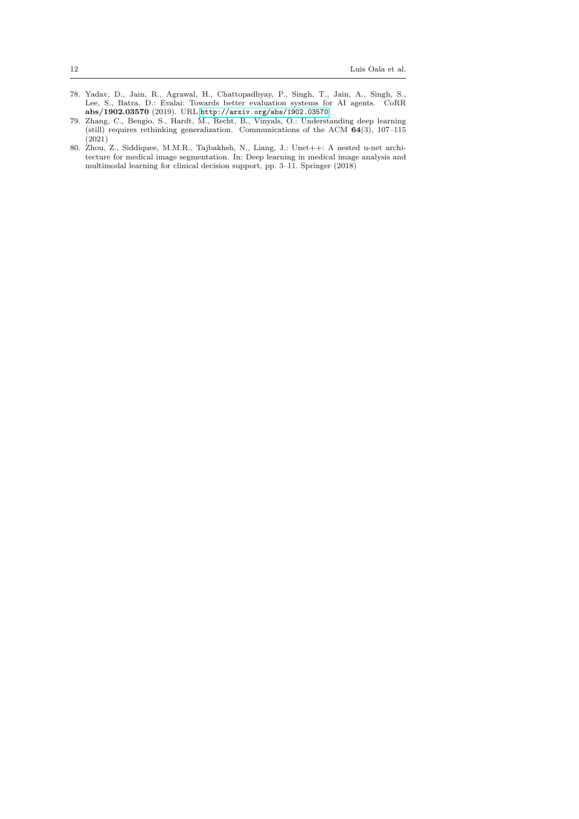- <span id="page-11-1"></span>78. Yadav, D., Jain, R., Agrawal, H., Chattopadhyay, P., Singh, T., Jain, A., Singh, S., Lee, S., Batra, D.: Evalai: Towards better evaluation systems for AI agents. CoRR **abs/1902.03570** (2019). URL <http://arxiv.org/abs/1902.03570>
- <span id="page-11-2"></span>79. Zhang, C., Bengio, S., Hardt, M., Recht, B., Vinyals, O.: Understanding deep learning (still) requires rethinking generalization. Communications of the ACM **64**(3), 107–115  $(2021)$
- <span id="page-11-0"></span>80. Zhou, Z., Siddiquee, M.M.R., Tajbakhsh, N., Liang, J.: Unet++: A nested u-net architecture for medical image segmentation. In: Deep learning in medical image analysis and multimodal learning for clinical decision support, pp. 3–11. Springer (2018)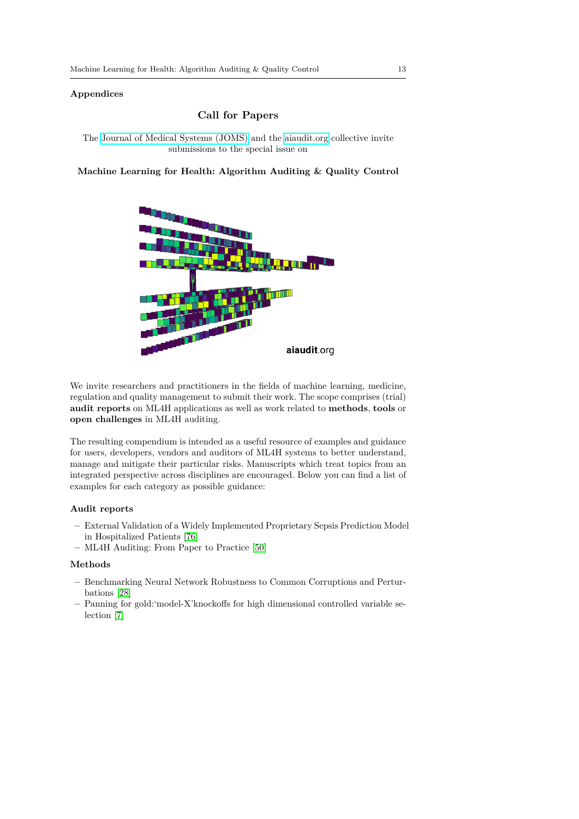## **Appendices**

## **Call for Papers**

The [Journal of Medical Systems \(JOMS\)](https://www.springer.com/journal/10916/) and the [aiaudit.org](https://aiaudit.org/) collective invite submissions to the special issue on

**Machine Learning for Health: Algorithm Auditing & Quality Control**



We invite researchers and practitioners in the fields of machine learning, medicine, regulation and quality management to submit their work. The scope comprises (trial) **audit reports** on ML4H applications as well as work related to **methods**, **tools** or **open challenges** in ML4H auditing.

The resulting compendium is intended as a useful resource of examples and guidance for users, developers, vendors and auditors of ML4H systems to better understand, manage and mitigate their particular risks. Manuscripts which treat topics from an integrated perspective across disciplines are encouraged. Below you can find a list of examples for each category as possible guidance:

## **Audit reports**

- **–** External Validation of a Widely Implemented Proprietary Sepsis Prediction Model in Hospitalized Patients [\[76\]](#page-10-17)
- **–** ML4H Auditing: From Paper to Practice [\[50\]](#page-9-9)

## **Methods**

- **–** Benchmarking Neural Network Robustness to Common Corruptions and Perturbations [\[28\]](#page-8-20)
- **–** Panning for gold:'model-X'knockoffs for high dimensional controlled variable selection [\[7\]](#page-7-18)